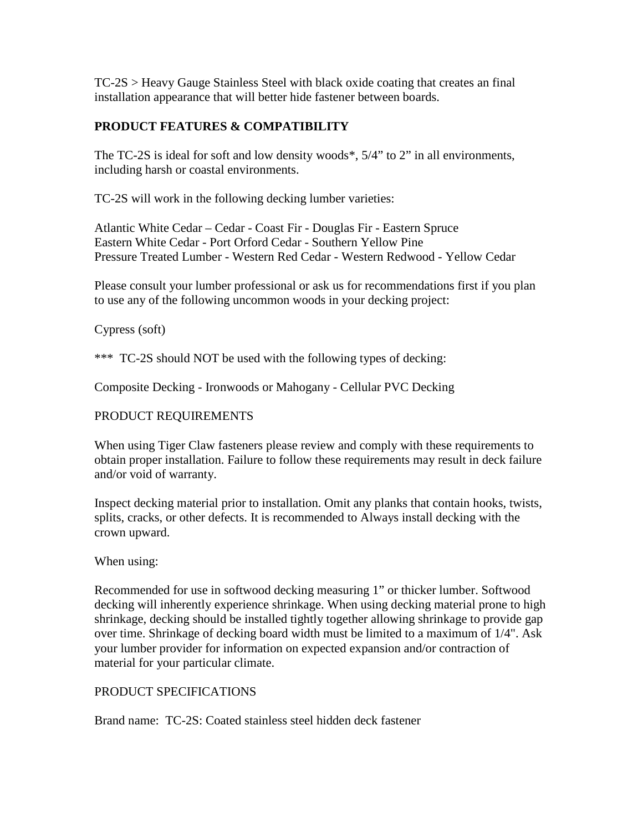TC-2S > Heavy Gauge Stainless Steel with black oxide coating that creates an final installation appearance that will better hide fastener between boards.

# **PRODUCT FEATURES & COMPATIBILITY**

The TC-2S is ideal for soft and low density woods\*, 5/4" to 2" in all environments, including harsh or coastal environments.

TC-2S will work in the following decking lumber varieties:

Atlantic White Cedar – Cedar - Coast Fir - Douglas Fir - Eastern Spruce Eastern White Cedar - Port Orford Cedar - Southern Yellow Pine Pressure Treated Lumber - Western Red Cedar - Western Redwood - Yellow Cedar

Please consult your lumber professional or ask us for recommendations first if you plan to use any of the following uncommon woods in your decking project:

## Cypress (soft)

\*\*\* TC-2S should NOT be used with the following types of decking:

Composite Decking - Ironwoods or Mahogany - Cellular PVC Decking

## PRODUCT REQUIREMENTS

When using Tiger Claw fasteners please review and comply with these requirements to obtain proper installation. Failure to follow these requirements may result in deck failure and/or void of warranty.

Inspect decking material prior to installation. Omit any planks that contain hooks, twists, splits, cracks, or other defects. It is recommended to Always install decking with the crown upward.

### When using:

Recommended for use in softwood decking measuring 1" or thicker lumber. Softwood decking will inherently experience shrinkage. When using decking material prone to high shrinkage, decking should be installed tightly together allowing shrinkage to provide gap over time. Shrinkage of decking board width must be limited to a maximum of 1/4". Ask your lumber provider for information on expected expansion and/or contraction of material for your particular climate.

### PRODUCT SPECIFICATIONS

Brand name: TC-2S: Coated stainless steel hidden deck fastener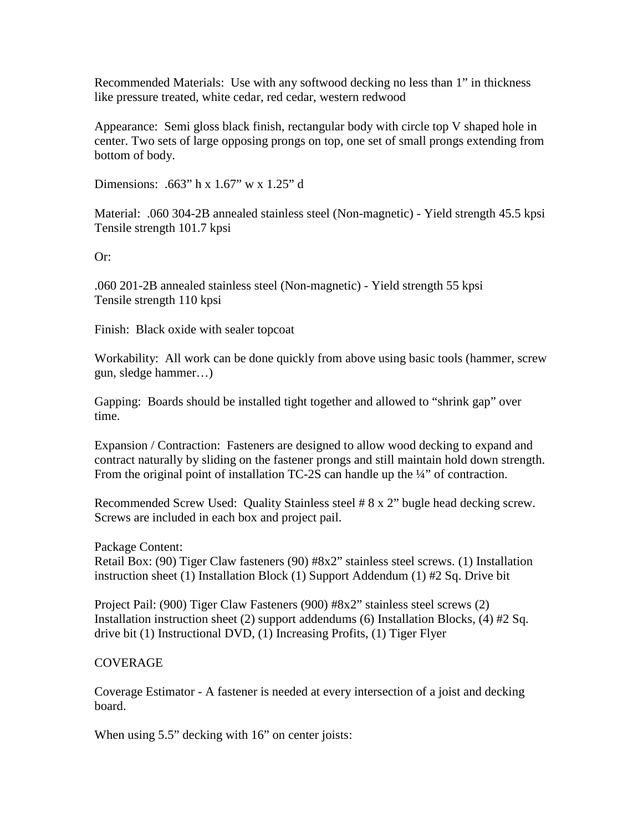Recommended Materials: Use with any softwood decking no less than 1" in thickness like pressure treated, white cedar, red cedar, western redwood

Appearance: Semi gloss black finish, rectangular body with circle top V shaped hole in center. Two sets of large opposing prongs on top, one set of small prongs extending from bottom of body.

Dimensions: .663" h x 1.67" w x 1.25" d

Material: .060 304-2B annealed stainless steel (Non-magnetic) - Yield strength 45.5 kpsi Tensile strength 101.7 kpsi

Or:

.060 201-2B annealed stainless steel (Non-magnetic) - Yield strength 55 kpsi Tensile strength 110 kpsi

Finish: Black oxide with sealer topcoat

Workability: All work can be done quickly from above using basic tools (hammer, screw gun, sledge hammer…)

Gapping: Boards should be installed tight together and allowed to "shrink gap" over time.

Expansion / Contraction: Fasteners are designed to allow wood decking to expand and contract naturally by sliding on the fastener prongs and still maintain hold down strength. From the original point of installation TC-2S can handle up the ¼" of contraction.

Recommended Screw Used: Quality Stainless steel # 8 x 2" bugle head decking screw. Screws are included in each box and project pail.

Package Content:

Retail Box: (90) Tiger Claw fasteners (90) #8x2" stainless steel screws. (1) Installation instruction sheet (1) Installation Block (1) Support Addendum (1) #2 Sq. Drive bit

Project Pail: (900) Tiger Claw Fasteners (900) #8x2" stainless steel screws (2) Installation instruction sheet (2) support addendums (6) Installation Blocks, (4)  $#2$  Sq. drive bit (1) Instructional DVD, (1) Increasing Profits, (1) Tiger Flyer

### COVERAGE

Coverage Estimator - A fastener is needed at every intersection of a joist and decking board.

When using 5.5" decking with 16" on center joists: